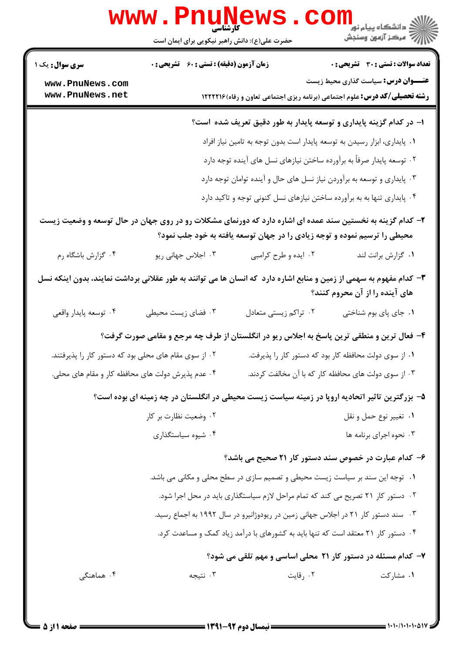| <b>www.PnuNews</b>                                                                                                                                                                     |                                                                                    |                                                                         |                                                                                                |  |  |  |
|----------------------------------------------------------------------------------------------------------------------------------------------------------------------------------------|------------------------------------------------------------------------------------|-------------------------------------------------------------------------|------------------------------------------------------------------------------------------------|--|--|--|
|                                                                                                                                                                                        | حضرت علی(ع): دانش راهبر نیکویی برای ایمان است                                      |                                                                         |                                                                                                |  |  |  |
| <b>سری سوال :</b> یک ۱                                                                                                                                                                 | <b>زمان آزمون (دقیقه) : تستی : 60 ٪ تشریحی : 0</b>                                 |                                                                         | <b>تعداد سوالات : تستی : 30 ٪ تشریحی : 0</b>                                                   |  |  |  |
| www.PnuNews.com<br>www.PnuNews.net                                                                                                                                                     |                                                                                    |                                                                         | <b>عنــــوان درس:</b> سیاست گذاری محیط زیست                                                    |  |  |  |
|                                                                                                                                                                                        | <b>رشته تحصیلی/کد درس:</b> علوم اجتماعی (برنامه ریزی اجتماعی تعاون و رفاه) ۱۲۲۲۲۱۶ |                                                                         |                                                                                                |  |  |  |
|                                                                                                                                                                                        |                                                                                    |                                                                         | ۱– در کدام گزینه پایداری و توسعه پایدار به طور دقیق تعریف شده است؟                             |  |  |  |
|                                                                                                                                                                                        | ٠١. پايداري، ابزار رسيدن به توسعه پايدار است بدون توجه به تامين نياز افراد         |                                                                         |                                                                                                |  |  |  |
|                                                                                                                                                                                        | ۰۲ توسعه پایدار صرفاً به برآورده ساختن نیازهای نسل های آینده توجه دارد             |                                                                         |                                                                                                |  |  |  |
|                                                                                                                                                                                        | ۰۳ پایداری و توسعه به برآوردن نیاز نسل های حال و آینده توامان توجه دارد            |                                                                         |                                                                                                |  |  |  |
|                                                                                                                                                                                        |                                                                                    | ۰۴ پایداری تنها به به برآورده ساختن نیازهای نسل کنونی توجه و تاکید دارد |                                                                                                |  |  |  |
| ۲- کدام گزینه به نخستین سند عمده ای اشاره دارد که دورنمای مشکلات رو در روی جهان در حال توسعه و وضعیت زیست<br>محیطی را ترسیم نموده و توجه زیادی را در جهان توسعه یافته به خود جلب نمود؟ |                                                                                    |                                                                         |                                                                                                |  |  |  |
|                                                                                                                                                                                        |                                                                                    |                                                                         |                                                                                                |  |  |  |
| ۰۴ گزارش باشگاه رم                                                                                                                                                                     | ۰۳ اجلاس جهانی ریو                                                                 | ۰۲ ایده و طرح کرامبی                                                    | ٠١. گزارش برانت لند                                                                            |  |  |  |
| ۳– کدام مفهوم به سهمی از زمین و منابع اشاره دارد که انسان ها می توانند به طور عقلانی برداشت نمایند، بدون اینکه نسل                                                                     |                                                                                    |                                                                         | های آینده را از آن محروم کنند؟                                                                 |  |  |  |
| ۰۴ توسعه پايدار واقعي                                                                                                                                                                  | ۰۳ فضای زیست محیطی                                                                 | ۰۲ تراکم زیستی متعادل                                                   | ۰۱ جای پای بوم شناختی                                                                          |  |  |  |
|                                                                                                                                                                                        |                                                                                    |                                                                         | ۴- فعال ترین و منطقی ترین پاسخ به اجلاس ریو در انگلستان از طرف چه مرجع و مقامی صورت گرفت؟      |  |  |  |
|                                                                                                                                                                                        | ۰۲ از سوی مقام های محلی بود که دستور کار را پذیرفتند.                              | ۰۱ از سوی دولت محافظه کار بود که دستور کار را پذیرفت.                   |                                                                                                |  |  |  |
|                                                                                                                                                                                        | ۰۴ عدم پذیرش دولت های محافظه کار و مقام های محلی.                                  |                                                                         | ۰۳ از سوی دولت های محافظه کار که با آن مخالفت کردند.                                           |  |  |  |
|                                                                                                                                                                                        |                                                                                    |                                                                         | ۵– بزرگترین تاثیر اتحادیه اروپا در زمینه سیاست زیست محیطی در انگلستان در چه زمینه ای بوده است؟ |  |  |  |
|                                                                                                                                                                                        | ۰۲ وضعیت نظارت بر کار                                                              |                                                                         | ۰۱ تغيير نوع حمل و نقل                                                                         |  |  |  |
|                                                                                                                                                                                        | ۰۴ شیوه سیاستگذاری                                                                 |                                                                         | ۰۳ نحوه اجرای برنامه ها                                                                        |  |  |  |
|                                                                                                                                                                                        |                                                                                    |                                                                         | ۶– کدام عبارت در خصوص سند دستور کار ۲۱ صحیح می باشد؟                                           |  |  |  |
|                                                                                                                                                                                        | ۰۱ توجه این سند بر سیاست زیست محیطی و تصمیم سازی در سطح محلی و مکانی می باشد.      |                                                                         |                                                                                                |  |  |  |
|                                                                                                                                                                                        | ۰۲ دستور کار ۲۱ تصریح می کند که تمام مراحل لازم سیاستگذاری باید در محل اجرا شود.   |                                                                         |                                                                                                |  |  |  |
| ۰۳ سند دستور کار ۲۱ در اجلاس جهانی زمین در ریودوژانیرو در سال ۱۹۹۲ به اجماع رسید.                                                                                                      |                                                                                    |                                                                         |                                                                                                |  |  |  |
| ۰۴ دستور کار ۲۱ معتقد است که تنها باید به کشورهای با درآمد زیاد کمک و مساعدت کرد.                                                                                                      |                                                                                    |                                                                         |                                                                                                |  |  |  |
| ۷– کدام مسئله در دستور کار ۲۱ محلی اساسی و مهم تلقی می شود؟                                                                                                                            |                                                                                    |                                                                         |                                                                                                |  |  |  |
| ۰۴ هماهنگی                                                                                                                                                                             | ۰۳ نتيجه                                                                           | ۰۲ رقایت                                                                | ۰۱ مشارکت                                                                                      |  |  |  |
|                                                                                                                                                                                        |                                                                                    |                                                                         |                                                                                                |  |  |  |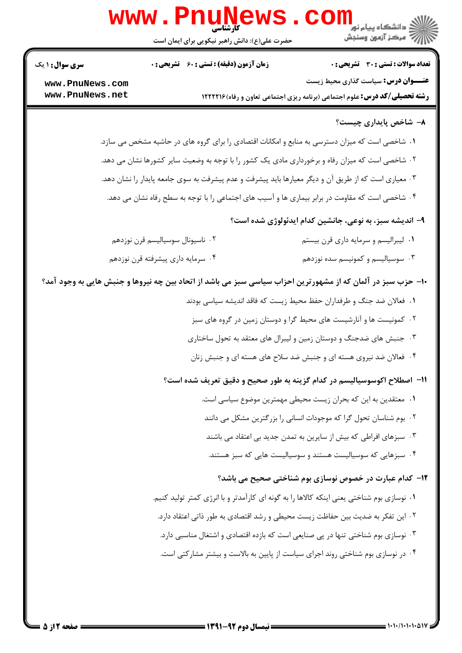

۰۴ در نوسازی بوم شناختی روند اجرای سیاست از پایین به بالاست و بیشتر مشارکتی است.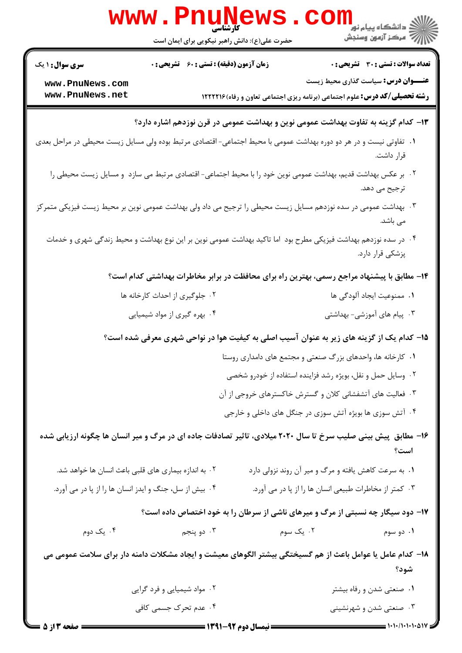| www.PnuNews<br>الاد دانشگاه پيام نور<br>الا مرکز آزمون وسنجش                                                                        |                                                    |                                                                         |                                                                                                                                  |  |  |
|-------------------------------------------------------------------------------------------------------------------------------------|----------------------------------------------------|-------------------------------------------------------------------------|----------------------------------------------------------------------------------------------------------------------------------|--|--|
|                                                                                                                                     | حضرت علی(ع): دانش راهبر نیکویی برای ایمان است      |                                                                         |                                                                                                                                  |  |  |
| <b>سری سوال : ۱ یک</b>                                                                                                              | <b>زمان آزمون (دقیقه) : تستی : 60 ٪ تشریحی : 0</b> |                                                                         | <b>تعداد سوالات : تستی : 30 ٪ تشریحی : 0</b>                                                                                     |  |  |
| www.PnuNews.com<br>www.PnuNews.net                                                                                                  |                                                    |                                                                         | <b>عنـــوان درس:</b> سیاست گذاری محیط زیست<br><b>رشته تحصیلی/کد درس:</b> علوم اجتماعی (برنامه ریزی اجتماعی تعاون و رفاه) ۱۲۲۲۲۱۶ |  |  |
| ۱۳– کدام گزینه به تفاوت بهداشت عمومی نوین و بهداشت عمومی در قرن نوزدهم اشاره دارد؟                                                  |                                                    |                                                                         |                                                                                                                                  |  |  |
| ۰۱ تفاوتی نیست و در هر دو دوره بهداشت عمومی با محیط اجتماعی- اقتصادی مرتبط بوده ولی مسایل زیست محیطی در مراحل بعدی<br>قرار داشت.    |                                                    |                                                                         |                                                                                                                                  |  |  |
|                                                                                                                                     |                                                    |                                                                         | ۰۲ بر عکس بهداشت قدیم، بهداشت عمومی نوین خود را با محیط اجتماعی- اقتصادی مرتبط می سازد  و مسایل زیست محیطی را<br>ترجيح مي دهد.   |  |  |
| ۰۳ بهداشت عمومی در سده نوزدهم مسایل زیست محیطی را ترجیح می داد ولی بهداشت عمومی نوین بر محیط زیست فیزیکی متمرکز<br>می باشد.         |                                                    |                                                                         |                                                                                                                                  |  |  |
| ۰۴ در سده نوزدهم بهداشت فیزیکی مطرح بود اما تاکید بهداشت عمومی نوین بر این نوع بهداشت و محیط زندگی شهری و خدمات<br>پزشکی قرار دارد. |                                                    |                                                                         |                                                                                                                                  |  |  |
|                                                                                                                                     |                                                    |                                                                         | ۱۴– مطابق با پیشنهاد مراجع رسمی، بهترین راه برای محافظت در برابر مخاطرات بهداشتی کدام است؟                                       |  |  |
|                                                                                                                                     | ۰۲ جلوگیری از احداث کارخانه ها                     |                                                                         | ۰۱ ممنوعیت ایجاد آلودگی ها                                                                                                       |  |  |
|                                                                                                                                     | ۰۴ بهره گیری از مواد شیمیایی                       |                                                                         | ۰۳ پیام های آموزشی- بهداشتی                                                                                                      |  |  |
| ۱۵– کدام یک از گزینه های زیر به عنوان آسیب اصلی به کیفیت هوا در نواحی شهری معرفی شده است؟                                           |                                                    |                                                                         |                                                                                                                                  |  |  |
|                                                                                                                                     |                                                    |                                                                         | ۰۱ کارخانه ها، واحدهای بزرگ صنعتی و مجتمع های دامداری روستا                                                                      |  |  |
|                                                                                                                                     |                                                    |                                                                         | ۰۲ وسایل حمل و نقل، بویژه رشد فزاینده استفاده از خودرو شخصی                                                                      |  |  |
|                                                                                                                                     |                                                    |                                                                         | ۰۳ فعالیت های آتشفشانی کلان و گسترش خاکسترهای خروجی از آن                                                                        |  |  |
|                                                                                                                                     |                                                    |                                                                         | ۰۴ آتش سوزی ها بویژه آتش سوزی در جنگل های داخلی و خارجی                                                                          |  |  |
|                                                                                                                                     |                                                    |                                                                         | ۱۶– مطابق پیش بینی صلیب سرخ تا سال ۲۰۲۰ میلادی، تاثیر تصادفات جاده ای در مرگ و میر انسان ها چگونه ارزیابی شده<br>است؟            |  |  |
| ۰۲ به اندازه بیماری های قلبی باعث انسان ها خواهد شد.                                                                                |                                                    |                                                                         | ۰۱ به سرعت کاهش یافته و مرگ و میر آن روند نزولی دارد                                                                             |  |  |
| ۰۴ بیش از سل، جنگ و ایدز انسان ها را از پا در می آورد.                                                                              |                                                    |                                                                         | ۰۳ کمتر از مخاطرات طبیعی انسان ها را از پا در می آورد.                                                                           |  |  |
|                                                                                                                                     |                                                    |                                                                         | ۱۷- دود سیگار چه نسبتی از مرگ و میرهای ناشی از سرطان را به خود اختصاص داده است؟                                                  |  |  |
| ۰۴ يک دوم                                                                                                                           | ۰۳ دو پنجم                                         | ۰۲ یک سوم                                                               | ۰۱ دو سوم                                                                                                                        |  |  |
| ۱۸– کدام عامل یا عوامل باعث از هم گسیختگی بیشتر الگوهای معیشت و ایجاد مشکلات دامنه دار برای سلامت عمومی می<br>شود؟                  |                                                    |                                                                         |                                                                                                                                  |  |  |
|                                                                                                                                     | ۰۲ مواد شیمیایی و فرد گرایی                        |                                                                         | ۰۱ صنعتی شدن و رفاه بیشتر                                                                                                        |  |  |
|                                                                                                                                     | ۰۴ عدم تحرک جسمی کافی                              |                                                                         | ۰۳ صنعتی شدن و شهرنشینی                                                                                                          |  |  |
| صفحه ۱۳ ۵ ۵                                                                                                                         |                                                    | ـــــــــــــــــــــــــ نيمسال دوم 92-1391 <del>ـــــــــــــــ</del> | $\frac{1}{1 + 1 + 1 + 1 + 2}$                                                                                                    |  |  |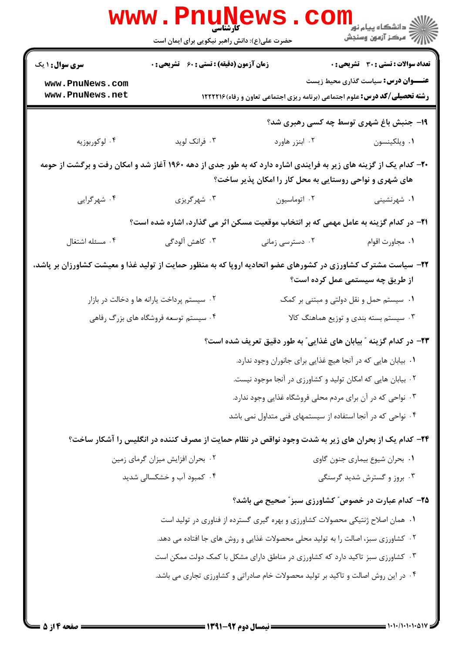|                                                                                                                                                                             | <b>www.Pnur</b><br><b>کارشناسی</b><br>حضرت علی(ع): دانش راهبر نیکویی برای ایمان است                                              |                                                                                                     | <mark>د د</mark> انشگاه پيام نور ■<br>  <i>  &gt;</i><br>  } |  |  |
|-----------------------------------------------------------------------------------------------------------------------------------------------------------------------------|----------------------------------------------------------------------------------------------------------------------------------|-----------------------------------------------------------------------------------------------------|--------------------------------------------------------------|--|--|
| <b>سری سوال : ۱ یک</b>                                                                                                                                                      | <b>زمان آزمون (دقیقه) : تستی : 60 ٪ تشریحی : 0</b>                                                                               |                                                                                                     | <b>تعداد سوالات : تستی : 30 ٪ تشریحی : 0</b>                 |  |  |
| www.PnuNews.com<br>www.PnuNews.net                                                                                                                                          | <b>عنـــوان درس:</b> سیاست گذاری محیط زیست<br><b>رشته تحصیلی/کد درس:</b> علوم اجتماعی (برنامه ریزی اجتماعی تعاون و رفاه) ۱۲۲۲۲۱۶ |                                                                                                     |                                                              |  |  |
|                                                                                                                                                                             |                                                                                                                                  |                                                                                                     | 19- جنبش باغ شهری توسط چه کسی رهبری شد؟                      |  |  |
| ۰۴ لوکوربوزیه                                                                                                                                                               | ۰۳ فرانک لوید                                                                                                                    | ٠٢ ابنزر هاورد                                                                                      | ٠١ ويلكينسون                                                 |  |  |
| +۲- کدام یک از گزینه های زیر به فرایندی اشاره دارد که به طور جدی از دهه ۱۹۶۰ آغاز شد و امکان رفت و برگشت از حومه<br>های شهری و نواحی روستایی به محل کار را امکان پذیر ساخت؟ |                                                                                                                                  |                                                                                                     |                                                              |  |  |
| ۰۴ شهرگرایی                                                                                                                                                                 | ۰۳ شهرگریزی                                                                                                                      | ۰۲ اتوماسیون                                                                                        | ۰۱ شهرنشینی                                                  |  |  |
| <b>۲۱</b> - در کدام گزینه به عامل مهمی که بر انتخاب موقعیت مسکن اثر می گذارد، اشاره شده است؟                                                                                |                                                                                                                                  |                                                                                                     |                                                              |  |  |
| ۰۴ مسئله اشتغال                                                                                                                                                             | ۰۳ کاهش آلودگی                                                                                                                   | ۰۲ دسترسی زمانی                                                                                     | ٠١ مجاورت اقوام                                              |  |  |
| ۲۲– سیاست مشترک کشاورزی در کشورهای عضو اتحادیه اروپا که به منظور حمایت از تولید غذا و معیشت کشاورزان بر پاشد،<br>از طریق چه سیستمی عمل کرده است؟                            |                                                                                                                                  |                                                                                                     |                                                              |  |  |
|                                                                                                                                                                             | ۰۲ سیستم پرداخت یارانه ها و دخالت در بازار                                                                                       |                                                                                                     | ۰۱ سیستم حمل و نقل دولتی و مبتنی بر کمک                      |  |  |
|                                                                                                                                                                             | ۰۴ سیستم توسعه فروشگاه های بزرگ رفاهی                                                                                            |                                                                                                     | ۰۳ سیستم بسته بندی و توزیع هماهنگ کالا                       |  |  |
| ۲۳– در کدام گزینه ″ بیابان های غذایی″ به طور دقیق تعریف شده است؟                                                                                                            |                                                                                                                                  |                                                                                                     |                                                              |  |  |
|                                                                                                                                                                             |                                                                                                                                  | ٠١. بيابان هايي كه در آنجا هيچ غذايي براي جانوران وجود ندارد.                                       |                                                              |  |  |
|                                                                                                                                                                             |                                                                                                                                  | ۰۲ بیابان هایی که امکان تولید و کشاورزی در آنجا موجود نیست.                                         |                                                              |  |  |
|                                                                                                                                                                             |                                                                                                                                  | ۰۳ نواحی که در آن برای مردم محلی فروشگاه غذایی وجود ندارد.                                          |                                                              |  |  |
|                                                                                                                                                                             |                                                                                                                                  | ۰۴ نواحی که در آنجا استفاده از سیستمهای فنی متداول نمی باشد                                         |                                                              |  |  |
|                                                                                                                                                                             |                                                                                                                                  | ۲۴– کدام یک از بحران های زیر به شدت وجود نواقص در نظام حمایت از مصرف کننده در انگلیس را آشکار ساخت؟ |                                                              |  |  |
|                                                                                                                                                                             | ۰۲ بحران افزایش میزان گرمای زمین                                                                                                 |                                                                                                     | ٠١ بحران شيوع بيماري جنون گاوي                               |  |  |
|                                                                                                                                                                             | ۰۴ کمبود آب و خشکسالی شدید                                                                                                       |                                                                                                     | ۰۳ بروز و گسترش شدید گرسنگی                                  |  |  |
|                                                                                                                                                                             |                                                                                                                                  | <b>۲۵</b> - کدام عبارت در خصوص ؒ کشاورزی سبز ؒ صحیح می باشد؟                                        |                                                              |  |  |
|                                                                                                                                                                             | ۰۱ همان اصلاح ژنتیکی محصولات کشاورزی و بهره گیری گسترده از فناوری در تولید است                                                   |                                                                                                     |                                                              |  |  |
|                                                                                                                                                                             | ۰۲ کشاورزی سبز، اصالت را به تولید محلی محصولات غذایی و روش های جا افتاده می دهد.                                                 |                                                                                                     |                                                              |  |  |
|                                                                                                                                                                             |                                                                                                                                  | ۰۳ کشاورزی سبز تاکید دارد که کشاورزی در مناطق دارای مشکل با کمک دولت ممکن است                       |                                                              |  |  |
|                                                                                                                                                                             |                                                                                                                                  | ۰۴ در این روش اصالت و تاکید بر تولید محصولات خام صادراتی و کشاورزی تجاری می باشد.                   |                                                              |  |  |
|                                                                                                                                                                             |                                                                                                                                  |                                                                                                     |                                                              |  |  |